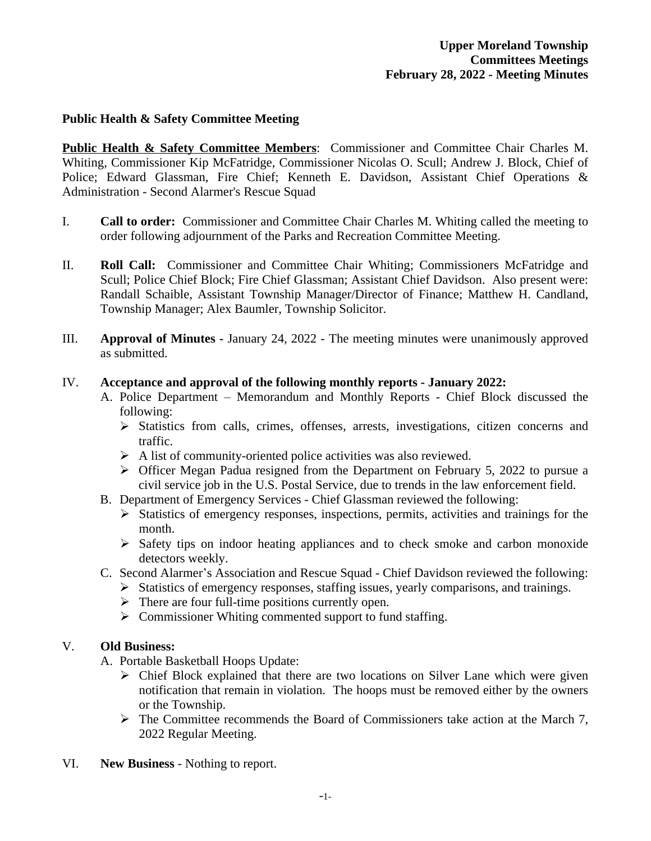## **Public Health & Safety Committee Meeting**

**Public Health & Safety Committee Members**: Commissioner and Committee Chair Charles M. Whiting, Commissioner Kip McFatridge, Commissioner Nicolas O. Scull; Andrew J. Block, Chief of Police; Edward Glassman, Fire Chief; Kenneth E. Davidson, Assistant Chief Operations & Administration - Second Alarmer's Rescue Squad

- I. **Call to order:** Commissioner and Committee Chair Charles M. Whiting called the meeting to order following adjournment of the Parks and Recreation Committee Meeting.
- II. **Roll Call:** Commissioner and Committee Chair Whiting; Commissioners McFatridge and Scull; Police Chief Block; Fire Chief Glassman; Assistant Chief Davidson. Also present were: Randall Schaible, Assistant Township Manager/Director of Finance; Matthew H. Candland, Township Manager; Alex Baumler, Township Solicitor.
- III. **Approval of Minutes -** January 24, 2022 The meeting minutes were unanimously approved as submitted.

#### IV. **Acceptance and approval of the following monthly reports - January 2022:**

- A. Police Department Memorandum and Monthly Reports Chief Block discussed the following:
	- Statistics from calls, crimes, offenses, arrests, investigations, citizen concerns and traffic.
	- $\triangleright$  A list of community-oriented police activities was also reviewed.
	- $\triangleright$  Officer Megan Padua resigned from the Department on February 5, 2022 to pursue a civil service job in the U.S. Postal Service, due to trends in the law enforcement field.
- B. Department of Emergency Services Chief Glassman reviewed the following:
	- $\triangleright$  Statistics of emergency responses, inspections, permits, activities and trainings for the month.
	- $\triangleright$  Safety tips on indoor heating appliances and to check smoke and carbon monoxide detectors weekly.
- C. Second Alarmer's Association and Rescue Squad Chief Davidson reviewed the following:
	- $\triangleright$  Statistics of emergency responses, staffing issues, yearly comparisons, and trainings.
	- $\triangleright$  There are four full-time positions currently open.
	- $\triangleright$  Commissioner Whiting commented support to fund staffing.

# V. **Old Business:**

- A. Portable Basketball Hoops Update:
	- $\triangleright$  Chief Block explained that there are two locations on Silver Lane which were given notification that remain in violation. The hoops must be removed either by the owners or the Township.
	- $\triangleright$  The Committee recommends the Board of Commissioners take action at the March 7, 2022 Regular Meeting.
- VI. **New Business** Nothing to report.